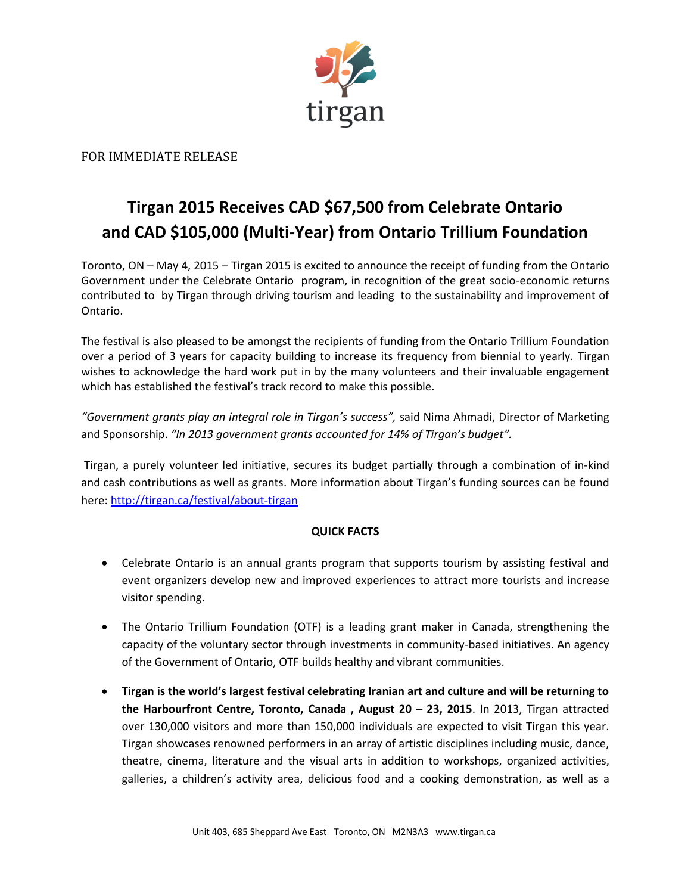

## FOR IMMEDIATE RELEASE

## **Tirgan 2015 Receives CAD \$67,500 from Celebrate Ontario and CAD \$105,000 (Multi-Year) from Ontario Trillium Foundation**

Toronto, ON – May 4, 2015 – Tirgan 2015 is excited to announce the receipt of funding from the Ontario Government under the Celebrate Ontario program, in recognition of the great socio-economic returns contributed to by Tirgan through driving tourism and leading to the sustainability and improvement of Ontario.

The festival is also pleased to be amongst the recipients of funding from the Ontario Trillium Foundation over a period of 3 years for capacity building to increase its frequency from biennial to yearly. Tirgan wishes to acknowledge the hard work put in by the many volunteers and their invaluable engagement which has established the festival's track record to make this possible.

*"Government grants play an integral role in Tirgan's success",* said Nima Ahmadi, Director of Marketing and Sponsorship. *"In 2013 government grants accounted for 14% of Tirgan's budget".*

Tirgan, a purely volunteer led initiative, secures its budget partially through a combination of in‐kind and cash contributions as well as grants. More information about Tirgan's funding sources can be found here: <http://tirgan.ca/festival/about‐tirgan>

## **QUICK FACTS**

- Celebrate Ontario is an annual grants program that supports tourism by assisting festival and event organizers develop new and improved experiences to attract more tourists and increase visitor spending.
- The Ontario Trillium Foundation (OTF) is a leading grant maker in Canada, strengthening the capacity of the voluntary sector through investments in community-based initiatives. An agency of the Government of Ontario, OTF builds healthy and vibrant communities.
- **Tirgan is the world's largest festival celebrating Iranian art and culture and will be returning to the Harbourfront Centre, Toronto, Canada , August 20 – 23, 2015**. In 2013, Tirgan attracted over 130,000 visitors and more than 150,000 individuals are expected to visit Tirgan this year. Tirgan showcases renowned performers in an array of artistic disciplines including music, dance, theatre, cinema, literature and the visual arts in addition to workshops, organized activities, galleries, a children's activity area, delicious food and a cooking demonstration, as well as a